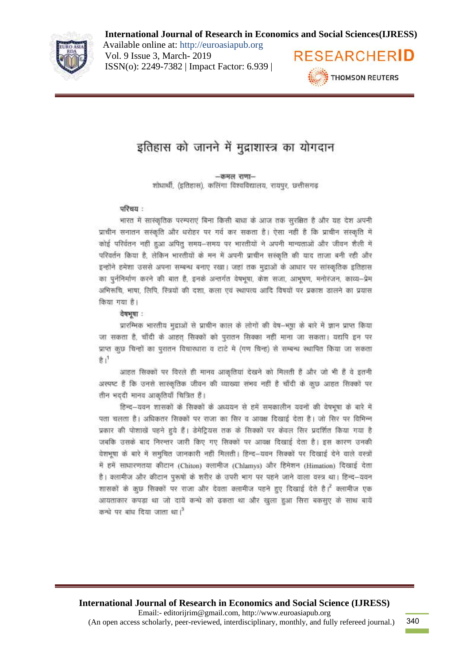

Available online at: http://euroasiapub.org Vol. 9 Issue 3, March- 2019 ISSN(o): 2249-7382 | Impact Factor: 6.939 |



# इतिहास को जानने में मुद्राशास्त्र का योगदान

-कमल राणा-शोधार्थी, (इतिहास), कलिंगा विश्वविद्यालय, रायपुर, छत्तीसगढ़

#### परिचय :

भारत में सारंकृतिक परम्पराएं बिना किसी बाधा के आज तक सुरक्षित है और यह देश अपनी प्राचीन सनातन सस्कृति और धरोहर पर गर्व कर सकता है। ऐसा नहीं है कि प्राचीन संस्कृति में कोई परिर्वतन नहीं हुआ अपितु समय-समय पर भारतीयों ने अपनी मान्यताओं और जीवन शैली में परिवर्तन किया है, लेकिन भारतीयों के मन में अपनी प्राचीन संस्कृति की याद ताजा बनी रही और इन्होंने हमेशा उससे अपना सम्बन्ध बनाए रखा। जहां तक मुद्राओं के आधार पर सांस्कृतिक इतिहास का पूर्ननिर्माण करने की बात है, इनके अन्तर्गत वेषभूषा, केश सजा, आभूषण, मनोरंजन, काव्य-प्रेम अभिरूचि, भाषा, लिपि, स्त्रियों की दशा, कला एवं स्थापत्य आदि विषयों पर प्रकाश डालने का प्रयास किया गया है।

#### वेषभवा:

प्रारम्भिक भारतीय मुद्राओं से प्राचीन काल के लोगों की वेष-भूषा के बारे में ज्ञान प्राप्त किया जा सकता है, चाँदी के आहत सिक्कों को पुरातन सिक्का नहीं माना जा सकता। यद्यपि इन पर प्राप्त कुछ चिन्हों का पुरातन विचारधारा व टाटे मे (गण चिन्ह) से सम्बन्ध स्थापित किया जा सकता  $ft1$ 

आहत सिक्कों पर विरले ही मानव आकृतियां देखने को मिलती हैं और जो भी हैं वे इतनी अस्पष्ट है कि उनसे सारकृतिक जीवन की व्याख्या संभव नहीं है चाँदी के कुछ आहत सिक्कों पर तीन भददी मानव आकृतियाँ चित्रित हैं।

हिन्द-यवन शासकों के सिक्कों के अध्ययन से हमें समकालीन यवनों की वेषभूषा के बारे में पता चलता है। अधिकतर सिक्कों पर राजा का सिर व आवक्ष दिखाई देता है। जो सिर पर विभिन्न प्रकार की पोशाखें पहने हुये हैं। डेमेटियस तक के सिक्कों पर केवल सिर प्रदर्शित किया गया है जबकि उसके बाद निरन्तर जारी किए गए सिक्कों पर आवक्ष दिखाई देता है। इस कारण उनकी वेशभूषा के बारे में समुचित जानकारी नहीं मिलती। हिन्द-यवन सिक्कों पर दिखाई देने वाले वस्त्रों में हमें साधारणतया कीटान (Chiton) क्लामीज (Chlamys) और हिमेशन (Himation) दिखाई देता है। क्लामीज और कीटान पुरूषों के शरीर के उपरी भाग पर पहने जाने वाला वस्त्र था। हिन्द-यवन शासकों के कुछ सिक्कों पर राजा और देवता क्लामीज पहने हुए दिखाई देते है। क्लामीज एक आयताकार कपड़ा था जो दायें कन्धे को ढकता था और खुला हुआ सिरा बकसुए के साथ बायें कन्धे पर बांध दिया जाता था।<sup>3</sup>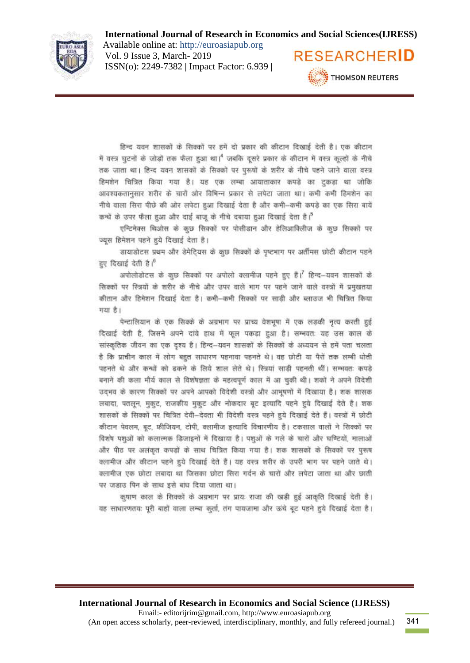

Available online at: http://euroasiapub.org Vol. 9 Issue 3, March- 2019 ISSN(o): 2249-7382 | Impact Factor: 6.939 |



हिन्द यवन शासकों के सिक्कों पर हमें दो प्रकार की कीटान दिखाई देती है। एक कीटान में वस्त्र घटनों के जोड़ों तक फैला हुआ था। जबकि दूसरे प्रकार के कीटान में यस्त्र कल्हों के नीचे तक जाता था। हिन्द यवन शासकों के सिक्कों पर परूपों के शरीर के नीचे पहने जाने वाला वस्त्र हिमशेन चित्रित किया गया है। यह एक लम्बा आयाताकार कपड़े का ट्कड़ा था जोकि आवश्यकतानुसार शरीर के चारों ओर विभिन्न प्रकार से लपेटा जाता था। कभी कभी हिमशेन का नीचे वाला सिरा पीछे की ओर लपेटा हुआ दिखाई देता है और कभी-कभी कपडे का एक सिरा बायें कन्धें के उपर फैला हुआ और दाई बाजू के नीचे दबाया हुआ दिखाई देता है।<sup>5</sup>

एन्टिमेक्स थिओस के कुछ सिक्कों पर पोसीडान और हेलिआविलीज के कुछ सिक्कों पर ज्यस हिमेशन पहने हुये दिखाई देता है।

डायाडोटस प्रथम और डेमेटियस के कुछ सिक्कों के पृष्टभाग पर अर्तीमस छोटी कीटान पहने हए दिखाई देती है।

अपोलोडोटस के कुछ सिक्कों पर अपोलो क्लामीज पहने हुए हैं। हिन्द-यवन शासकों के सिक्कों पर रित्रयों के शरीर के नीचे और उपर वाले भाग पर पहने जाने वाले वस्त्रों में प्रमुखतया कीतान और हिमेशन दिखाई देता है। कभी-कभी सिक्कों पर साड़ी और ब्लाउज भी चित्रित किया गया है।

पेन्टालियान के एक सिक्के के अग्रभाग पर प्राच्य वेशभूषा में एक लड़की नृत्य करती हुई दिखाई देती है, जिसने अपने दांये हाथ में फल पकड़ा हुआ है। सम्भवतः यह उस काल के सांस्कृतिक जीवन का एक दृश्य है। हिन्द–यवन शासकों के सिक्कों के अध्ययन से हमें पता चलता है कि प्राचीन काल में लोग बहुत साधारण पहनावा पहनते थे। वह छोटी या पैरों तक लम्बी धोती पहनते थे और कन्धों को ढकने के लिये शाल लेते थे। रित्रयां साढ़ी पहनती थीं। सम्भवतः कपडे बनाने की कला मौर्य काल से विशेषज्ञता के महत्वपूर्ण काल में आ चुकी थी। शकों ने अपने विदेशी उद्भव के कारण सिक्कों पर अपने आपको विदेशी वस्त्रों और आभूषणों में दिखाया है। शक शासक लबादा, पतलून, मुकूट, राजकीय मुकूट और नोकदार बूट इत्यादि पहने हुये दिखाई देते है। शक शासकों के सिक्कों पर चित्रित देवी-देवता भी विदेशी वस्त्र पहने हुये दिखाई देते हैं। वस्त्रों में छोटी कीटान पेवलम, बूट, फ्रीजियन, टोपी, क्लामीज इत्यादि विचारणीय है। टकसाल वालों ने सिक्कों पर विशेष पशुओं को कलात्मक डिजाइनों में दिखाया है। पशुओं के गले के चारों और घण्टियों, मालाओं और पीठ पर अलंकृत कपड़ों के साथ चित्रित किया गया है। शक शासकों के सिक्कों पर पुरूष क्लामीज और कीटान पहने हुये दिखाई देते हैं। यह वस्त्र शरीर के उपरी भाग पर पहने जाते थे। क्लामीज एक छोटा लबादा था जिसका छोटा सिरा गर्दन के चारों और लपेटा जाता था और छाती पर जड़ाउ पिन के साथ इसे बांध दिया जाता था।

कृषाण काल के सिक्कों के अग्रनाग पर प्रायः राजा की खड़ी हुई आकृति दिखाई देती है। वह साधारणतयः पूरी बाहों वाला लम्बा कर्ता, तंग पायजामा और ऊंचे बूट पहने हुये दिखाई देता है।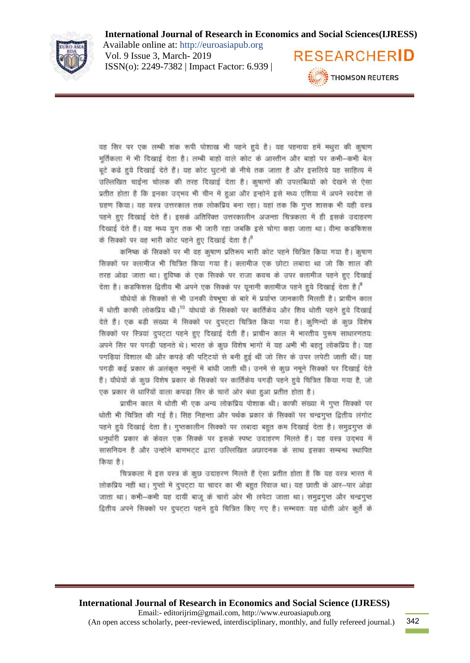

Available online at: http://euroasiapub.org Vol. 9 Issue 3, March- 2019 ISSN(o): 2249-7382 | Impact Factor: 6.939 |



वह सिर पर एक लम्बी शंक रूपी पोशाख भी पहने हुये है। यह पहनावा हमें मधुरा की कृषाण मूर्तिकला में भी दिखाई देता है। लम्बी बाहों वाले कोट के आस्तीन और बाहों पर कभी--कभी बेल बूटे कढ़े हुये दिखाई देते हैं। यह कोट घुटनों के नीचे तक जाता है और इसलिये यह साहित्य में उल्लिखित चाईना चोलक की तरह दिखाई देता है। कृषाणों की उपलब्धियों को देखने से ऐसा प्रतीत होता है कि इनका उदभव भी चीन में हुआ और इन्होने इसे मध्य एशिया में अपने स्वदेश से ग्रहण किया। यह वस्त्र उत्तरकाल तक लोकप्रिय बना रहा। यहां तक कि गुप्त शासक भी यही वस्त्र पहने हुए दिखाई देते हैं। इसके अतिरिक्त उत्तरकालीन अजन्ता चित्रकला में ही इसके उदाहरण दिखाई देते हैं। यह मध्य युग तक भी जारी रहा जबकि इसे घोगा कहा जाता था। वीमा कडफिशस के सिक्कों पर वह भारी कोट पहने हुए दिखाई देता है।<sup>8</sup>

कनिष्क के सिक्कों पर भी वह कृषाण प्रतिरूप भारी कोट पहने चित्रित किया गया है। कृषाण सिक्कों पर क्लामीज भी चित्रित किया गया है। क्लामीज एक छोटा लबादा था जो कि शाल की तरह ओढा जाता था। हविष्क के एक सिक्के पर राजा कवच के उपर क्लामीज पहने हुए दिखाई देता है। कडफिशस द्वितीय भी अपने एक सिक्के पर यूनानी क्लामीज पहने हुये दिखाई देता है।

यौधेयों के सिक्कों से भी उनकी वेषभुषा के बारे में प्रयंप्त जानकारी मिलती है। प्राचीन काल में धोती काफी लोकप्रिय थी।<sup>10</sup> योधयों के सिक्कों पर कार्तिकेय और शिव धोती पहने हुये दिखाई देते हैं। एक बड़ी संख्या में सिक्कों पर दुपटटा चित्रित किया गया है। कुणिन्दों के कुछ विशेष सिक्कों पर स्त्रियां दपटटा पहने हुए दिखाई देती हैं। प्राचीन काल में भारतीय पुरूष साधारणतयः अपने सिर पर पगड़ी पहनते थे। भारत के कुछ विशेष भागों में यह अभी भी बहतू लोकप्रिय है। यह पगड़ियां विशाल थी और कपड़े की पटि्टयों से बनी हुई थीं जो सिर के उपर लपेटी जाती थीं। यह पगड़ी कई प्रकार के अलंकृत नमूनों में बांधी जाती थी। उनमें से कुछ नमूने सिक्कों पर दिखाई देते हैं। यौधेयों के कुछ विशेष प्रकार के सिक्कों पर कार्तिकेय पगडी पहने हुये चित्रित किया गया है, जो एक प्रकार से धारियों वाला कपड़ा सिर के चारों ओर बंधा हुआ प्रतीत होता है।

प्राचीन काल में धोती भी एक अन्य लोकप्रिय पोशाक थी। काफी संख्या में गुप्त सिवकों पर धोती भी चित्रित की गई है। सिंह निहन्ता और पर्थक प्रकार के सिक्कों पर चन्द्रगुप्त द्वितीय लंगोट पहने हुये दिखाई देता है। गुप्तकालीन सिक्कों पर लबादा बहुत कम दिखाई देता है। समुद्रगुप्त के धनुर्धारी प्रकार के केवल एक सिक्के पर इसके स्पष्ट उदाहरण मिलते हैं। यह वस्त्र उदभव में सासनियन है और उन्होंने बाणभट्ट द्वारा उल्लिखित अछादनक के साथ इसका सम्बन्ध स्थापित किया है।

चित्रकला में इस वस्त्र के कुछ उदाहरण मिलते हैं ऐसा प्रतीत होता है कि यह वस्त्र भारत में लोकप्रिय नहीं था। गुप्तों में दुपट्टा या चादर का भी बहुत रिवाज था। यह छाती के आर-पार ओढ़ा जाता था। कभी-कभी यह दायीं बाजू के चारों ओर भी लपेटा जाता था। समुद्रगुप्त और चन्द्रगुप्त द्वितीय अपने सिक्कों पर दुपट्टा पहने हुये चित्रित किए गए है। सम्भवतः यह धोती ओर कुर्ते के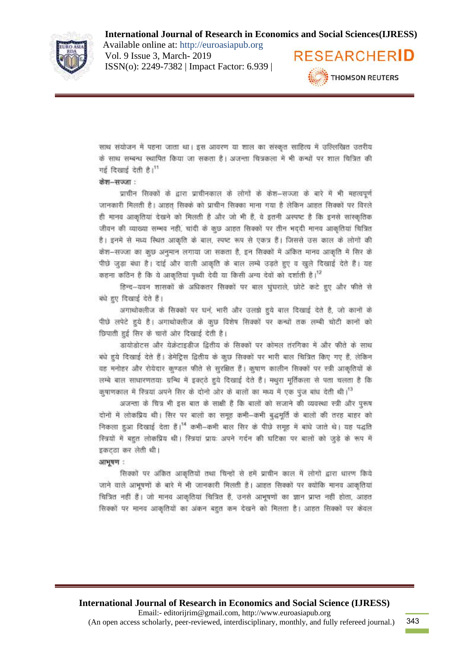

Available online at: http://euroasiapub.org Vol. 9 Issue 3, March- 2019 ISSN(o): 2249-7382 | Impact Factor: 6.939 |



साथ संयोजन में पहना जाता था। इस आवरण या शाल का संस्कृत साहित्य में उल्लिखित उतरीय के साथ सम्बन्ध स्थापित किया जा सकता है। अजन्ता चित्रकला में भी कन्धों पर शाल चित्रित की गई दिखाई देती है।<sup>11</sup>

#### केश-सज्जा:

प्राचीन सिक्कों के द्वारा प्राचीनकाल के लोगों के केश-सज्जा के बारे में भी महत्वपूर्ण जानकारी मिलती है। आहत सिक्के को प्राचीन सिक्का माना गया है लेकिन आहत सिक्कों पर विरले ही मानव आकृतियां देखने को मिलती है और जो भी हैं, वे इतनी अस्पष्ट है कि इनसे सांस्कृतिक जीवन की व्याख्या सम्भव नहीं, चांदी के कुछ आहत सिक्कों पर तीन भददी मानव आकृतियां चित्रित है। इनमें से मध्य स्थित आकृति के बाल, स्पष्ट रूप से एकत्र हैं। जिससे उस काल के लोगों की केश-सज्जा का कुछ अनुमान लगाया जा सकता है, इन सिक्कों में अंकित मानव आकृति में सिर के पीछे जुड़ा बंधा है। दाई और वाली आकृति के बाल लम्बे उड़ते हुए व खुले दिखाई देते हैं। यह कहना कठिन है कि ये आकृतियां पृथ्वी देवी या किसी अन्य देवों को दर्शाती है।<sup>12</sup>

हिन्द-यवन शासकों के अधिकतर सिक्कों पर बाल घुंघराले, छोटे कटे हुए और फीते से को हुए दिखाई देते हैं।

अगाथोक्लीज के सिक्कों पर धने, भारी और उलझे हुये बाल दिखाई देते है, जो कानों के पीछे लपेटे हुये है। अगाधोक्लीज के कुछ विशेष सिक्कों पर कन्धों तक लम्बी चोटी कानों को छिपाती हुई सिर के चारों ओर दिखाई देती है।

डायोडोटस और येक्रेटाइडीज द्वितीय के सिक्कों पर कोमल तंरगिका में और फीते के साथ बंधे हुये दिखाई देते हैं। डेमेट्रिस द्वितीय के कुछ सिक्कों पर भारी बाल चित्रित किए गए हैं, लेकिन वह मनोहर और रोयेदार कण्डल फीते से सुरक्षित हैं। कृषाण कालीन सिक्कों पर स्त्री आकृतियों के लम्बे बाल साधारणतयाः ग्रन्थि में इक्टठे हुये दिखाई देते हैं। मधुरा मूर्तिकला से पता चलता है कि कुषाणकाल में स्त्रियां अपने सिर के दोनो ओर के बालों का मध्य में एक पूंज बांध देती थी।<sup>13</sup>

अजन्ता के चित्र भी इस बात के साक्षी है कि बालों को सजाने की व्यवस्था स्त्री और पुरूष दोनों में लोकप्रिय थी। सिर पर बालों का समूह कभी-कभी बुद्धमूर्ति के बालों की तरह बाहर को निकला हुआ दिखाई देता हैं।<sup>14</sup> कभी-कभी बाल सिर के पीछे समूह में बांधे जाते थे। यह पद्धति स्त्रियों में बहुत लोकप्रिय थी। स्त्रियां प्रायः अपने गर्दन की घटिका पर बालों को जुड़े के रूप में इकटठा कर लेती थी।

#### आभयण:

सिक्कों पर अंकित आकृतियों तथा चिन्हों से हमें प्राचीन काल में लोगों द्वारा धारण किये जाने वाले आभूषणों के बारे में भी जानकारी मिलती है। आहत सिक्कों पर क्योंकि मानव आकृतियां चित्रित नहीं हैं। जो मानव आकृतियां चित्रित हैं, उनसे आनूषणों का ज्ञान प्राप्त नहीं होता, आहत सिक्कों पर मानव आकतियों का अंकन बहुत कम देखने को मिलता है। आहत सिक्कों पर केवल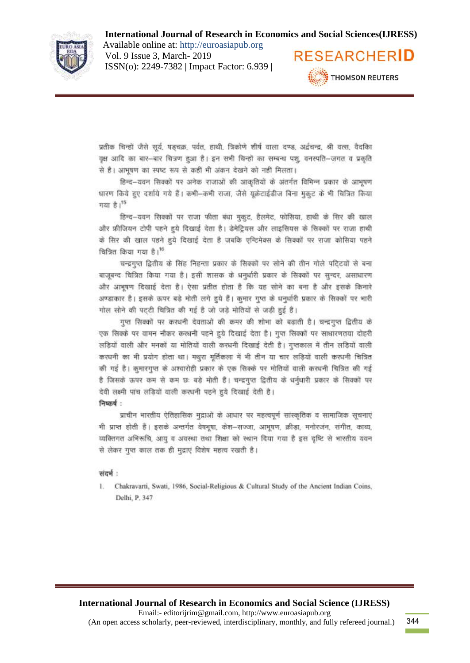

Available online at: http://euroasiapub.org Vol. 9 Issue 3, March- 2019 ISSN(o): 2249-7382 | Impact Factor: 6.939 |



प्रतीक चिन्हों जैसे सूर्य, षडचक्र, पर्वत, हाथी, त्रिकोणे शीर्ष वाला दण्ड, अर्द्वचन्द्र, श्री वरस, वैदकिा वृक्ष आदि का बार-बार चित्रण हुआ है। इन सभी चिन्हों का सम्बन्ध पशु, वनस्पति-जगत व प्रकृति से है। आभूषण का स्पष्ट रूप से कहीं भी अंकन देखने को नहीं मिलता।

हिन्द-यवन सिक्कों पर अनेक राजाओं की आकृतियों के अंतर्गत विभिन्न प्रकार के आभूषण धारण किये हुए दर्शाये गये हैं। कभी-कभी राजा, जैसे यूक्रेटाईडीज बिना मुकुट के भी चित्रित किया गया है।<sup>15</sup>

हिन्द-यवन सिक्कों पर राजा फीता बंधा मुकूट, हैलमेट, फोसिया, हाथी के सिर की खाल और फ्रीजियन टोपी पहने हुये दिखाई देता है। डेमेट्रियस और लाइसियस के सिक्कों पर राजा हाथी के सिर की खाल पहने हुये दिखाई देता है जबकि एन्टिमेक्स के सिक्कों पर राजा कोसिया पहने चित्रित किया गया है।<sup>16</sup>

चन्द्रगुप्त द्वितीय के सिंह निहन्ता प्रकार के सिक्कों पर सोने की तीन गोले पटिटयों से बना बाजूबन्द चित्रित किया गया है। इसी शासक के धनुर्धारी प्रकार के सिक्कों पर सुन्दर, असाधारण और आनूषण दिखाई देता है। ऐसा प्रतीत होता है कि यह सोने का बना है और इसके किनारे अण्डाकार है। इसके ऊपर बड़े मोती लगे हुये हैं। कुमार गुप्त के धनुर्धारी प्रकार के सिक्कों पर भारी गोल सोने की पट्टी चित्रित की गई है जो जड़े मोतियों से जड़ी हुई हैं।

गुप्त सिक्कों पर करधनी देवताओं की कमर की शोभा को बढ़ाती है। चन्द्रगुप्त द्वितीय के एक सिक्के पर वामन नौकर करधनी पहने हुये दिखाई देता है। गुप्त सिक्कों पर साधारणतया दोहरी लड़ियों वाली और मनकों या मोतियों वाली करधनी दिखाई देती है। गुप्तकाल में तीन लड़ियों वाली करधनी का भी प्रयोग होता था। मथुरा मूर्तिकला में भी तीन या चार लड़ियों वाली करधनी चित्रित की गई है। कुमारगुप्त के अश्वारोही प्रकार के एक सिक्के पर मोतियों वाली करूपनी चित्रित की गई है जिसके ऊपर कम से कम छः बड़े मोती हैं। चन्द्रगुप्त द्वितीय के धर्नुधारी प्रकार के सिक्कों पर देवी लक्ष्मी पांच लडियों वाली करधनी पहने हये दिखाई देती है।

निष्कर्ष -

प्राचीन भारतीय ऐतिहासिक मुद्राओं के आधार पर महत्वपूर्ण सांस्कृतिक व सामाजिक सूचनाएं भी प्राप्त होती हैं। इसके अन्तर्गत वेषभूषा, केश-सज्जा, आभूषण, क्रीडा, मनोरजंन, संगीत, काव्य, व्यक्तिगत अभिरूचि, आयु व अवस्था तथा शिक्षा को स्थान दिया गया है इस दृष्टि से भारतीय यवन से लेकर गुप्त काल तक ही मुद्राएं विशेष महत्व रखती है।

#### संदर्भ:

Chakravarti, Swati, 1986, Social-Religious & Cultural Study of the Ancient Indian Coins, Delhi, P. 347